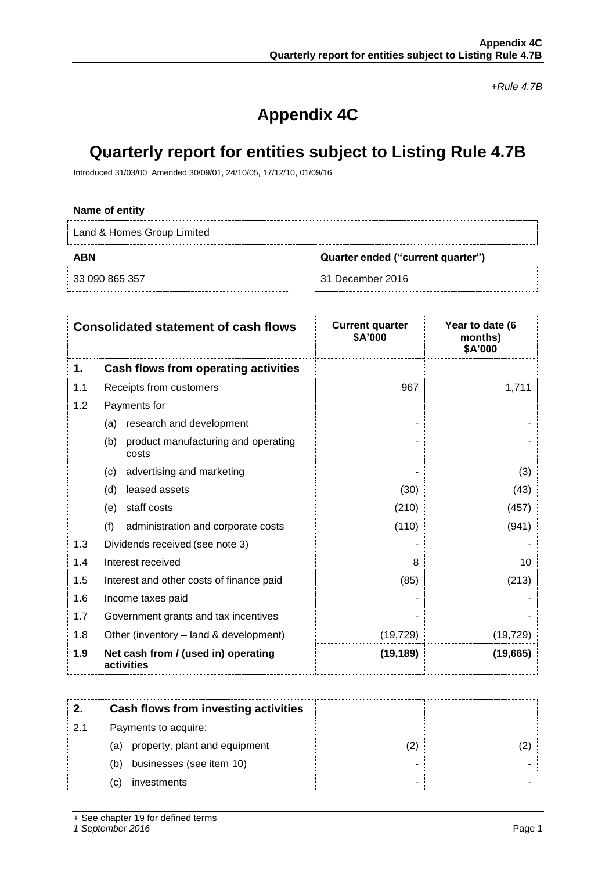*+Rule 4.7B*

# **Appendix 4C**

# **Quarterly report for entities subject to Listing Rule 4.7B**

Introduced 31/03/00 Amended 30/09/01, 24/10/05, 17/12/10, 01/09/16

# **Name of entity**

Land & Homes Group Limited

**ABN Quarter ended ("current quarter")**

33 090 865 357 31 December 2016

| 31 December 2016 |  |
|------------------|--|

|     | <b>Consolidated statement of cash flows</b>         | <b>Current quarter</b><br>\$A'000 | Year to date (6<br>months)<br>\$A'000 |
|-----|-----------------------------------------------------|-----------------------------------|---------------------------------------|
| 1.  | Cash flows from operating activities                |                                   |                                       |
| 1.1 | Receipts from customers                             | 967                               | 1,711                                 |
| 1.2 | Payments for                                        |                                   |                                       |
|     | research and development<br>(a)                     |                                   |                                       |
|     | (b)<br>product manufacturing and operating<br>costs |                                   |                                       |
|     | advertising and marketing<br>(c)                    |                                   | (3)                                   |
|     | (d)<br>leased assets                                | (30)                              | (43)                                  |
|     | staff costs<br>(e)                                  | (210)                             | (457)                                 |
|     | (f)<br>administration and corporate costs           | (110)                             | (941)                                 |
| 1.3 | Dividends received (see note 3)                     |                                   |                                       |
| 1.4 | Interest received                                   | 8                                 | 10                                    |
| 1.5 | Interest and other costs of finance paid            | (85)                              | (213)                                 |
| 1.6 | Income taxes paid                                   |                                   |                                       |
| 1.7 | Government grants and tax incentives                |                                   |                                       |
| 1.8 | Other (inventory – land & development)              | (19, 729)                         | (19, 729)                             |
| 1.9 | Net cash from / (used in) operating<br>activities   | (19, 189)                         | (19,665)                              |

|     | Cash flows from investing activities |                |  |
|-----|--------------------------------------|----------------|--|
| 2.1 | Payments to acquire:                 |                |  |
|     | (a) property, plant and equipment    | $^{\prime}$ 2, |  |
|     | businesses (see item 10)<br>(b)      | ۰              |  |
|     | investments<br>C)                    | ۰              |  |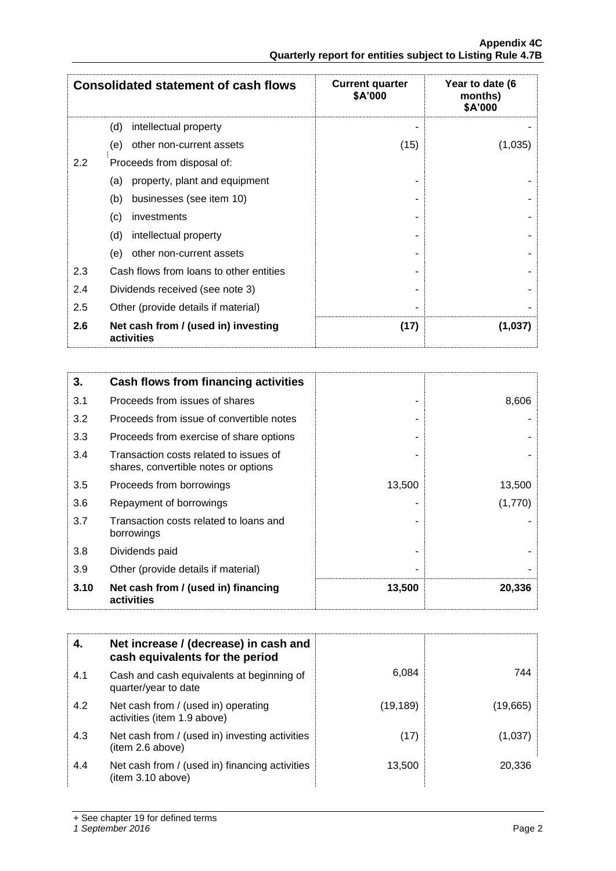**Appendix 4C Quarterly report for entities subject to Listing Rule 4.7B**

|     | <b>Consolidated statement of cash flows</b>       | <b>Current quarter</b><br>\$A'000 | Year to date (6<br>months)<br>\$A'000 |
|-----|---------------------------------------------------|-----------------------------------|---------------------------------------|
|     | intellectual property<br>(d)                      |                                   |                                       |
|     | other non-current assets<br>(e)                   | (15)                              | (1,035)                               |
| 2.2 | Proceeds from disposal of:                        |                                   |                                       |
|     | property, plant and equipment<br>(a)              |                                   |                                       |
|     | businesses (see item 10)<br>(b)                   |                                   |                                       |
|     | (c)<br>investments                                |                                   |                                       |
|     | (d)<br>intellectual property                      |                                   |                                       |
|     | (e)<br>other non-current assets                   |                                   |                                       |
| 2.3 | Cash flows from loans to other entities           |                                   |                                       |
| 2.4 | Dividends received (see note 3)                   |                                   |                                       |
| 2.5 | Other (provide details if material)               |                                   |                                       |
| 2.6 | Net cash from / (used in) investing<br>activities | (17)                              | (1,037)                               |

| 3.   | Cash flows from financing activities                                           |        |         |
|------|--------------------------------------------------------------------------------|--------|---------|
| 3.1  | Proceeds from issues of shares                                                 |        | 8,606   |
| 3.2  | Proceeds from issue of convertible notes                                       |        |         |
| 3.3  | Proceeds from exercise of share options                                        |        |         |
| 3.4  | Transaction costs related to issues of<br>shares, convertible notes or options |        |         |
| 3.5  | Proceeds from borrowings                                                       | 13,500 | 13,500  |
| 3.6  | Repayment of borrowings                                                        |        | (1,770) |
| 3.7  | Transaction costs related to loans and<br>borrowings                           |        |         |
| 3.8  | Dividends paid                                                                 |        |         |
| 3.9  | Other (provide details if material)                                            |        |         |
| 3.10 | Net cash from / (used in) financing<br>activities                              | 13,500 | 20,336  |

| 4.  | Net increase / (decrease) in cash and<br>cash equivalents for the period |           |          |
|-----|--------------------------------------------------------------------------|-----------|----------|
| 4.1 | Cash and cash equivalents at beginning of<br>quarter/year to date        | 6,084     | 744      |
| 4.2 | Net cash from / (used in) operating<br>activities (item 1.9 above)       | (19, 189) | (19,665) |
| 4.3 | Net cash from / (used in) investing activities<br>(item 2.6 above)       | (17)      | (1,037)  |
| 4.4 | Net cash from / (used in) financing activities<br>(item 3.10 above)      | 13,500    | 20.336   |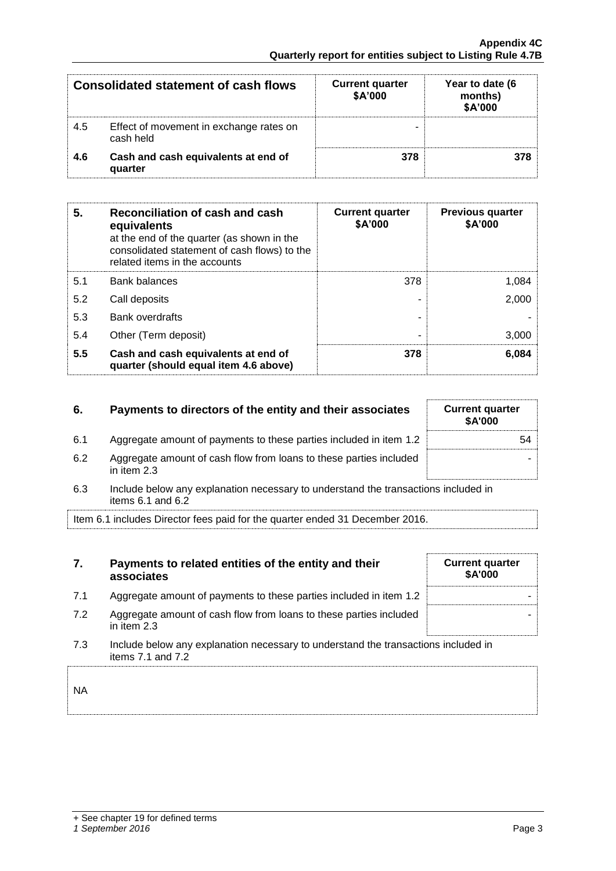| Consolidated statement of cash flows |                                                      | <b>Current quarter</b><br>\$A'000 | Year to date (6<br>months)<br>\$A'000 |
|--------------------------------------|------------------------------------------------------|-----------------------------------|---------------------------------------|
| 4.5                                  | Effect of movement in exchange rates on<br>cash held |                                   |                                       |
| 4.6                                  | Cash and cash equivalents at end of<br>quarter       | 378                               |                                       |

| 5.  | Reconciliation of cash and cash<br>equivalents<br>at the end of the quarter (as shown in the<br>consolidated statement of cash flows) to the<br>related items in the accounts | <b>Current quarter</b><br>\$A'000 | <b>Previous quarter</b><br>\$A'000 |
|-----|-------------------------------------------------------------------------------------------------------------------------------------------------------------------------------|-----------------------------------|------------------------------------|
| 5.1 | <b>Bank balances</b>                                                                                                                                                          | 378                               | 1,084                              |
| 5.2 | Call deposits                                                                                                                                                                 |                                   | 2,000                              |
| 5.3 | <b>Bank overdrafts</b>                                                                                                                                                        |                                   |                                    |
| 5.4 | Other (Term deposit)                                                                                                                                                          |                                   | 3,000                              |
| 5.5 | Cash and cash equivalents at end of<br>quarter (should equal item 4.6 above)                                                                                                  | 378                               | 6,084                              |

| 6.  | Payments to directors of the entity and their associates                           | <b>Current quarter</b><br><b>\$A'000</b> |
|-----|------------------------------------------------------------------------------------|------------------------------------------|
| 6.1 | Aggregate amount of payments to these parties included in item 1.2                 | 54                                       |
| 6.2 | Aggregate amount of cash flow from loans to these parties included<br>in item 2.3  |                                          |
| 6.3 | Include below any explanation necessary to understand the transactions included in |                                          |

items 6.1 and 6.2

Item 6.1 includes Director fees paid for the quarter ended 31 December 2016.

| 7. | Payments to related entities of the entity and their |
|----|------------------------------------------------------|
|    | associates                                           |

- 7.1 Aggregate amount of payments to these parties included in item  $1.2$
- 7.2 Aggregate amount of cash flow from loans to these parties included in item 2.3
- 7.3 Include below any explanation necessary to understand the transactions included in items 7.1 and 7.2

NA

## *1 September 2016* Page 3

-

**Current quarter \$A'000**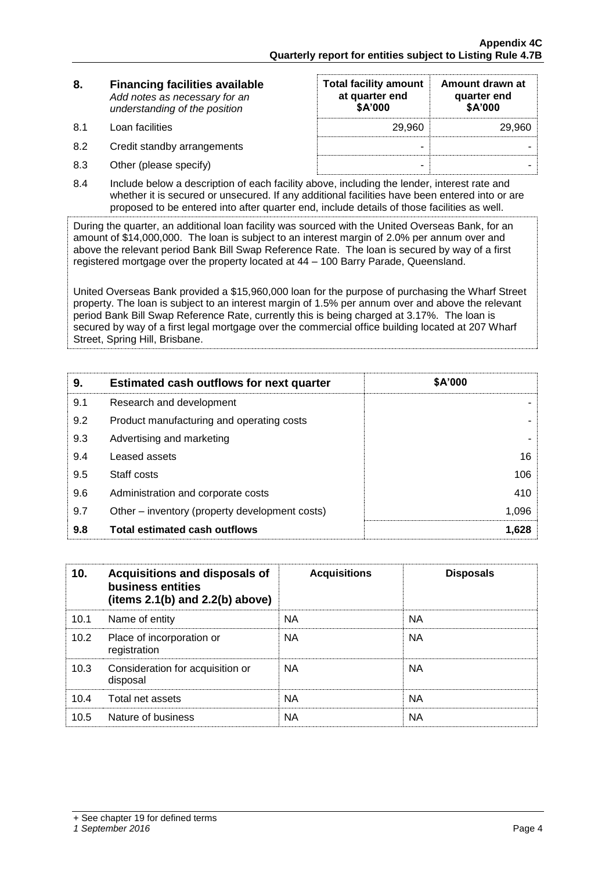| 8. | <b>Financing facilities available</b> |
|----|---------------------------------------|
|    | Add notes as necessary for an         |
|    | understanding of the position         |

8.1 Loan facilities

8.2 Credit standby arrangements

8.3 Other (please specify)

| <b>Total facility amount</b><br>at quarter end<br>\$A'000 | Amount drawn at<br>quarter end<br>\$A'000 |
|-----------------------------------------------------------|-------------------------------------------|
| 29.960                                                    | 29.960                                    |
|                                                           |                                           |
|                                                           |                                           |

8.4 Include below a description of each facility above, including the lender, interest rate and whether it is secured or unsecured. If any additional facilities have been entered into or are proposed to be entered into after quarter end, include details of those facilities as well.

During the quarter, an additional loan facility was sourced with the United Overseas Bank, for an amount of \$14,000,000. The loan is subject to an interest margin of 2.0% per annum over and above the relevant period Bank Bill Swap Reference Rate. The loan is secured by way of a first registered mortgage over the property located at 44 – 100 Barry Parade, Queensland.

United Overseas Bank provided a \$15,960,000 loan for the purpose of purchasing the Wharf Street property. The loan is subject to an interest margin of 1.5% per annum over and above the relevant period Bank Bill Swap Reference Rate, currently this is being charged at 3.17%. The loan is secured by way of a first legal mortgage over the commercial office building located at 207 Wharf Street, Spring Hill, Brisbane.

| 9.  | <b>Estimated cash outflows for next quarter</b> | \$A'000 |
|-----|-------------------------------------------------|---------|
| 9.1 | Research and development                        |         |
| 9.2 | Product manufacturing and operating costs       |         |
| 9.3 | Advertising and marketing                       |         |
| 9.4 | Leased assets                                   | 16      |
| 9.5 | Staff costs                                     | 106     |
| 9.6 | Administration and corporate costs              | 410     |
| 9.7 | Other – inventory (property development costs)  | 1,096   |
| 9.8 | <b>Total estimated cash outflows</b>            | 1,628   |

| 10.  | Acquisitions and disposals of<br>business entities<br>(items $2.1(b)$ and $2.2(b)$ above) | <b>Acquisitions</b> | <b>Disposals</b> |
|------|-------------------------------------------------------------------------------------------|---------------------|------------------|
| 10.1 | Name of entity                                                                            | <b>NA</b>           | NА               |
| 10.2 | Place of incorporation or<br>registration                                                 | <b>NA</b>           | <b>NA</b>        |
| 10.3 | Consideration for acquisition or<br>disposal                                              | NA.                 | NA.              |
| 10.4 | Total net assets                                                                          | <b>NA</b>           | <b>NA</b>        |
| 10.5 | Nature of business                                                                        | <b>NA</b>           | NА               |